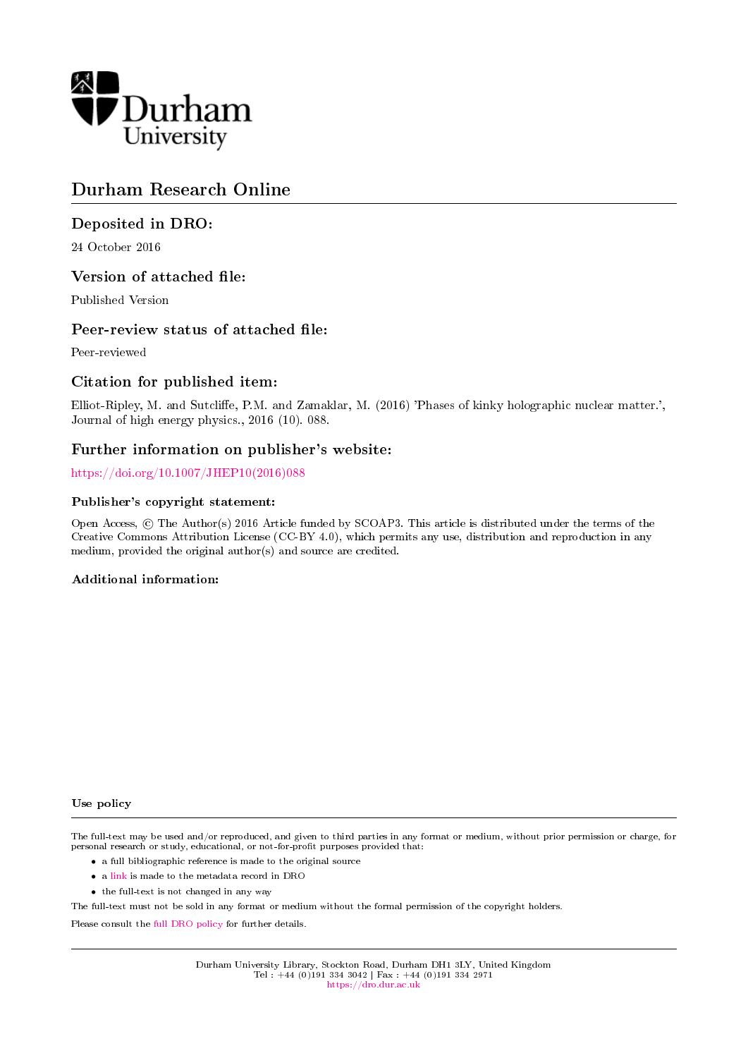

# Durham Research Online

# Deposited in DRO:

24 October 2016

## Version of attached file:

Published Version

## Peer-review status of attached file:

Peer-reviewed

# Citation for published item:

Elliot-Ripley, M. and Sutcliffe, P.M. and Zamaklar, M. (2016) 'Phases of kinky holographic nuclear matter.', Journal of high energy physics., 2016 (10). 088.

# Further information on publisher's website:

[https://doi.org/10.1007/JHEP10\(2016\)088](https://doi.org/10.1007/JHEP10(2016)088)

### Publisher's copyright statement:

Open Access, © The Author(s) 2016 Article funded by SCOAP3. This article is distributed under the terms of the Creative Commons Attribution License (CC-BY 4.0), which permits any use, distribution and reproduction in any medium, provided the original author(s) and source are credited.

### Additional information:

Use policy

The full-text may be used and/or reproduced, and given to third parties in any format or medium, without prior permission or charge, for personal research or study, educational, or not-for-profit purposes provided that:

- a full bibliographic reference is made to the original source
- a [link](http://dro.dur.ac.uk/20096/) is made to the metadata record in DRO
- the full-text is not changed in any way

The full-text must not be sold in any format or medium without the formal permission of the copyright holders.

Please consult the [full DRO policy](https://dro.dur.ac.uk/policies/usepolicy.pdf) for further details.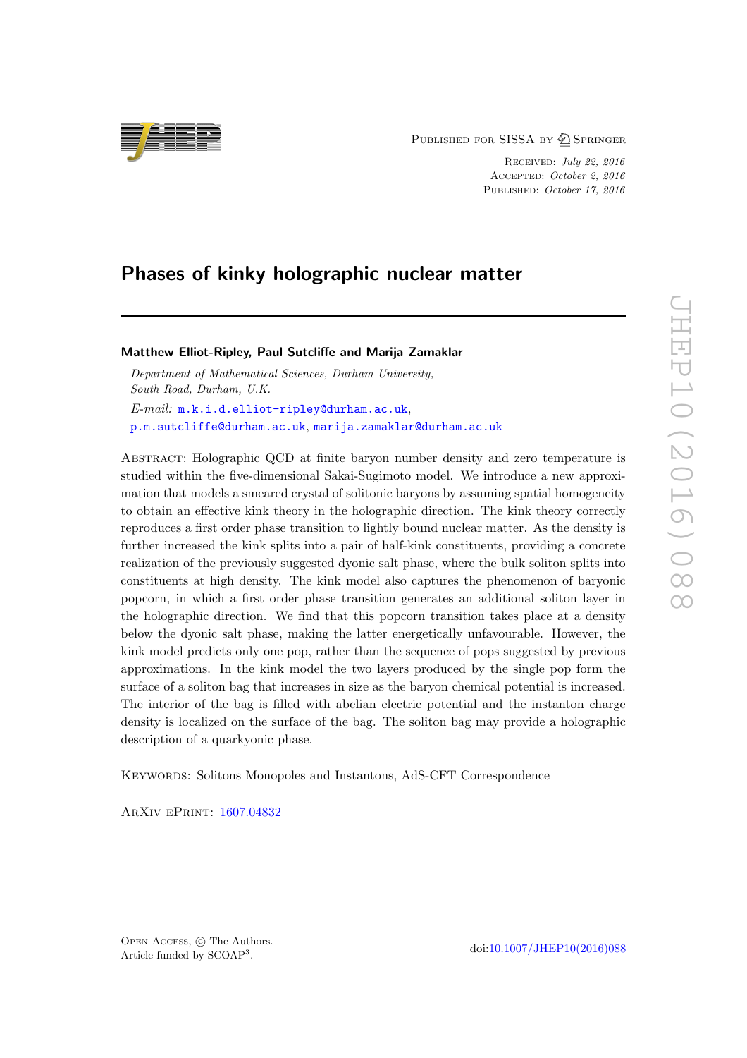PUBLISHED FOR SISSA BY 2 SPRINGER

Received : *July 22, 2016* Accepted : *October 2, 2016* Published : *October 17, 2016*

# Phases of kinky holographic nuclear matter

#### Matthew Elliot-Ripley, Paul Sutcli ffe and Marija Zamaklar

*Department of Mathematical Sciences, Durham University, South Road, Durham, U.K. E-mail:* m.k.i.d.elliot-ripley@durham.ac.uk , p.m.sutcliffe@durham.ac.uk , marija.zamaklar@durham.ac.uk

Abstract: Holographic QCD at finite baryon number density and zero temperature is studied within the five-dimensional Sakai-Sugimoto model. We introduce a new approximation that models a smeared crystal of solitonic baryons by assuming spatial homogeneity to obtain an e ffective kink theory in the holographic direction. The kink theory correctly reproduces a first order phase transition to lightly bound nuclear matter. As the density is further increased the kink splits into a pair of half-kink constituents, providing a concrete realization of the previously suggested dyonic salt phase, where the bulk soliton splits into constituents at high density. The kink model also captures the phenomenon of baryonic popcorn, in which a first order phase transition generates an additional soliton layer in the holographic direction. We find that this popcorn transition takes place at a density below the dyonic salt phase, making the latter energetically unfavourable. However, the kink model predicts only one pop, rather than the sequence of pops suggested by previous approximations. In the kink model the two layers produced by the single pop form the surface of a soliton bag that increases in size as the baryon chemical potential is increased. The interior of the bag is filled with abelian electric potential and the instanton charge density is localized on the surface of the bag. The soliton bag may provide a holographic description of a quarkyonic phase.

KEYWORDS: Solitons Monopoles and Instantons, AdS-CFT Correspondence

ArXiv ePrint: 1607.04832



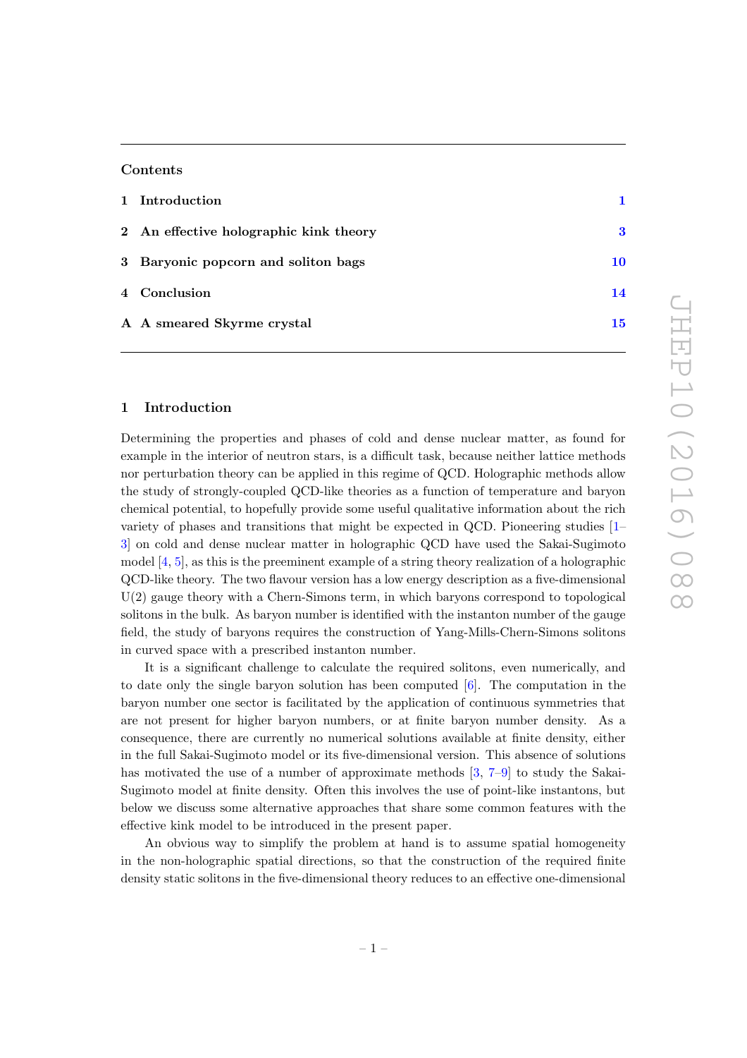#### Contents

| 1 Introduction                         |    |
|----------------------------------------|----|
| 2 An effective holographic kink theory | 3  |
| 3 Baryonic popcorn and soliton bags    | 10 |
| 4 Conclusion                           | 14 |
| A A smeared Skyrme crystal             | 15 |

#### 1 Introduction

Determining the properties and phases of cold and dense nuclear matter, as found for example in the interior of neutron stars, is a di fficult task, because neither lattice methods nor perturbation theory can be applied in this regime of QCD. Holographic methods allow the study of strongly-coupled QCD-like theories as a function of temperature and baryon chemical potential, to hopefully provide some useful qualitative information about the rich variety of phases and transitions that might be expected in QCD. Pioneering studies [ 1 – 3] on cold and dense nuclear matter in holographic QCD have used the Sakai-Sugimoto model [ 4 , 5], as this is the preeminent example of a string theory realization of a holographic QCD-like theory. The two flavour version has a low energy description as a five-dimensional U(2) gauge theory with a Chern-Simons term, in which baryons correspond to topological solitons in the bulk. As baryon number is identified with the instanton number of the gauge field, the study of baryons requires the construction of Yang-Mills-Chern-Simons solitons in curved space with a prescribed instanton number.

It is a significant challenge to calculate the required solitons, even numerically, and to date only the single baryon solution has been computed [ 6]. The computation in the baryon number one sector is facilitated by the application of continuous symmetries that are not present for higher baryon numbers, or at finite baryon number density. As a consequence, there are currently no numerical solutions available at finite density, either in the full Sakai-Sugimoto model or its five-dimensional version. This absence of solutions has motivated the use of a number of approximate methods  $[3, 7-9]$  to study the Sakai-Sugimoto model at finite density. Often this involves the use of point-like instantons, but below we discuss some alternative approaches that share some common features with the effective kink model to be introduced in the present paper.

An obvious way to simplify the problem at hand is to assume spatial homogeneity in the non-holographic spatial directions, so that the construction of the required finite density static solitons in the five-dimensional theory reduces to an e ffective one-dimensional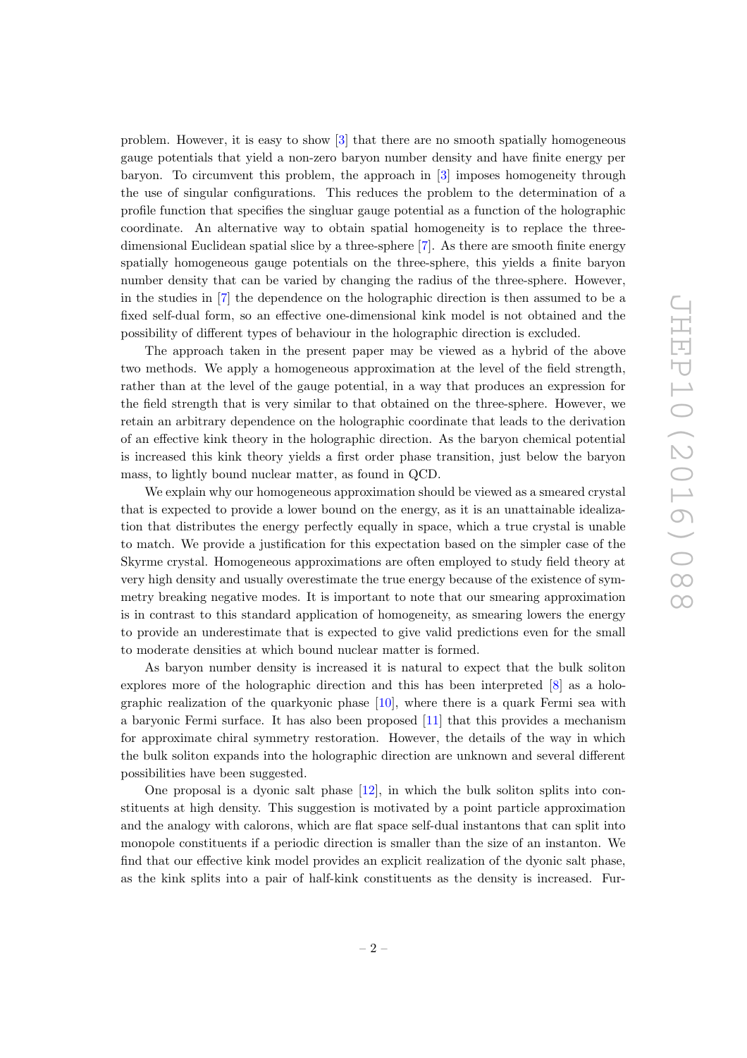problem. However, it is easy to show [ 3] that there are no smooth spatially homogeneous gauge potentials that yield a non-zero baryon number density and have finite energy per baryon. To circumvent this problem, the approach in [ 3] imposes homogeneity through the use of singular configurations. This reduces the problem to the determination of a profile function that specifies the singluar gauge potential as a function of the holographic coordinate. An alternative way to obtain spatial homogeneity is to replace the threedimensional Euclidean spatial slice by a three-sphere [7]. As there are smooth finite energy spatially homogeneous gauge potentials on the three-sphere, this yields a finite baryon number density that can be varied by changing the radius of the three-sphere. However, in the studies in [ 7] the dependence on the holographic direction is then assumed to be a fixed self-dual form, so an e ffective one-dimensional kink model is not obtained and the possibility of di fferent types of behaviour in the holographic direction is excluded.

The approach taken in the present paper may be viewed as a hybrid of the above two methods. We apply a homogeneous approximation at the level of the field strength, rather than at the level of the gauge potential, in a way that produces an expression for the field strength that is very similar to that obtained on the three-sphere. However, we retain an arbitrary dependence on the holographic coordinate that leads to the derivation of an e ffective kink theory in the holographic direction. As the baryon chemical potential is increased this kink theory yields a first order phase transition, just below the baryon mass, to lightly bound nuclear matter, as found in QCD.

We explain why our homogeneous approximation should be viewed as a smeared crystal that is expected to provide a lower bound on the energy, as it is an unattainable idealization that distributes the energy perfectly equally in space, which a true crystal is unable to match. We provide a justification for this expectation based on the simpler case of the Skyrme crystal. Homogeneous approximations are often employed to study field theory at very high density and usually overestimate the true energy because of the existence of symmetry breaking negative modes. It is important to note that our smearing approximation is in contrast to this standard application of homogeneity, as smearing lowers the energy to provide an underestimate that is expected to give valid predictions even for the small to moderate densities at which bound nuclear matter is formed.

As baryon number density is increased it is natural to expect that the bulk soliton explores more of the holographic direction and this has been interpreted [ 8] as a holographic realization of the quarkyonic phase  $[10]$ , where there is a quark Fermi sea with a baryonic Fermi surface. It has also been proposed [11] that this provides a mechanism for approximate chiral symmetry restoration. However, the details of the way in which the bulk soliton expands into the holographic direction are unknown and several di fferent possibilities have been suggested.

One proposal is a dyonic salt phase [12], in which the bulk soliton splits into constituents at high density. This suggestion is motivated by a point particle approximation and the analogy with calorons, which are flat space self-dual instantons that can split into monopole constituents if a periodic direction is smaller than the size of an instanton. We find that our e ffective kink model provides an explicit realization of the dyonic salt phase, as the kink splits into a pair of half-kink constituents as the density is increased. Fur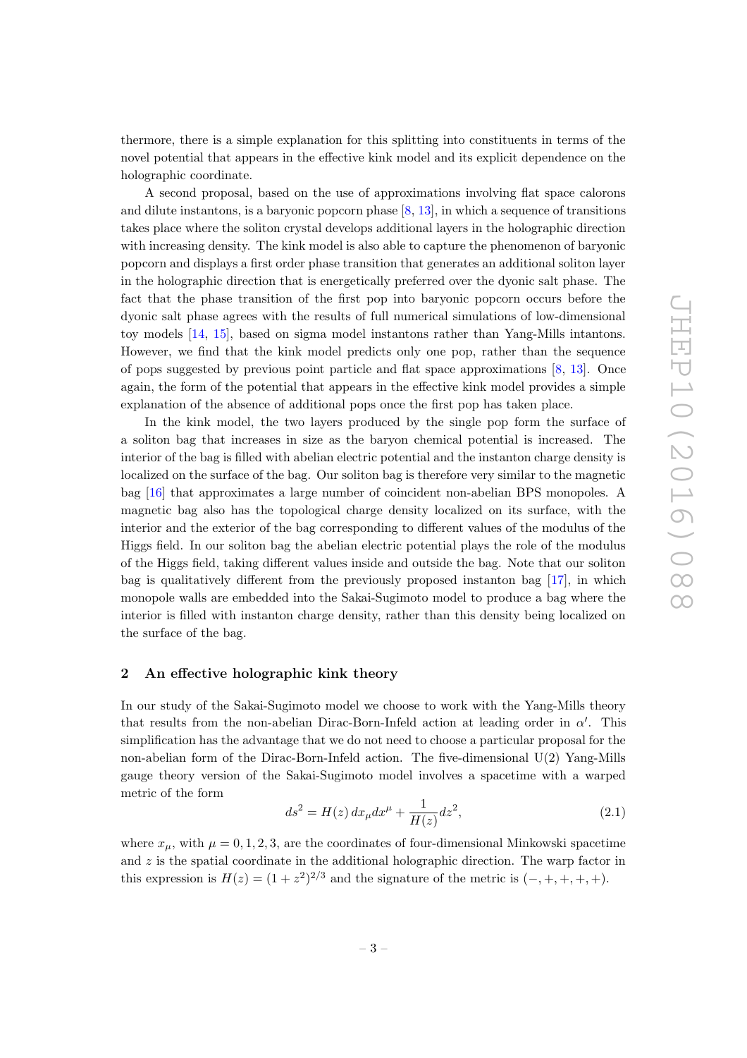thermore, there is a simple explanation for this splitting into constituents in terms of the novel potential that appears in the e ffective kink model and its explicit dependence on the holographic coordinate.

A second proposal, based on the use of approximations involving flat space calorons and dilute instantons, is a baryonic popcorn phase  $[8, 13]$ , in which a sequence of transitions takes place where the soliton crystal develops additional layers in the holographic direction with increasing density. The kink model is also able to capture the phenomenon of baryonic popcorn and displays a first order phase transition that generates an additional soliton layer in the holographic direction that is energetically preferred over the dyonic salt phase. The fact that the phase transition of the first pop into baryonic popcorn occurs before the dyonic salt phase agrees with the results of full numerical simulations of low-dimensional toy models [14 , 15], based on sigma model instantons rather than Yang-Mills intantons. However, we find that the kink model predicts only one pop, rather than the sequence of pops suggested by previous point particle and flat space approximations [ 8 , 13]. Once again, the form of the potential that appears in the e ffective kink model provides a simple explanation of the absence of additional pops once the first pop has taken place.

In the kink model, the two layers produced by the single pop form the surface of a soliton bag that increases in size as the baryon chemical potential is increased. The interior of the bag is filled with abelian electric potential and the instanton charge density is localized on the surface of the bag. Our soliton bag is therefore very similar to the magnetic bag [16] that approximates a large number of coincident non-abelian BPS monopoles. A magnetic bag also has the topological charge density localized on its surface, with the interior and the exterior of the bag corresponding to di fferent values of the modulus of the Higgs field. In our soliton bag the abelian electric potential plays the role of the modulus of the Higgs field, taking di fferent values inside and outside the bag. Note that our soliton bag is qualitatively di fferent from the previously proposed instanton bag [17], in which monopole walls are embedded into the Sakai-Sugimoto model to produce a bag where the interior is filled with instanton charge density, rather than this density being localized on the surface of the bag.

#### 2 An e ffective holographic kink theory

In our study of the Sakai-Sugimoto model we choose to work with the Yang-Mills theory that results from the non-abelian Dirac-Born-Infeld action at leading order in  $\alpha'$ . This simplification has the advantage that we do not need to choose a particular proposal for the non-abelian form of the Dirac-Born-Infeld action. The five-dimensional U(2) Yang-Mills gauge theory version of the Sakai-Sugimoto model involves a spacetime with a warped metric of the form

$$
ds^{2} = H(z) dx_{\mu} dx^{\mu} + \frac{1}{H(z)} dz^{2},
$$
\n(2.1)

where  $x_{\mu}$ , with  $\mu = 0, 1, 2, 3$ , are the coordinates of four-dimensional Minkowski spacetime and *z* is the spatial coordinate in the additional holographic direction. The warp factor in this expression is  $H(z) = (1 + z^2)^{2/3}$  and the signature of the metric is  $(-, +, +, +, +)$ .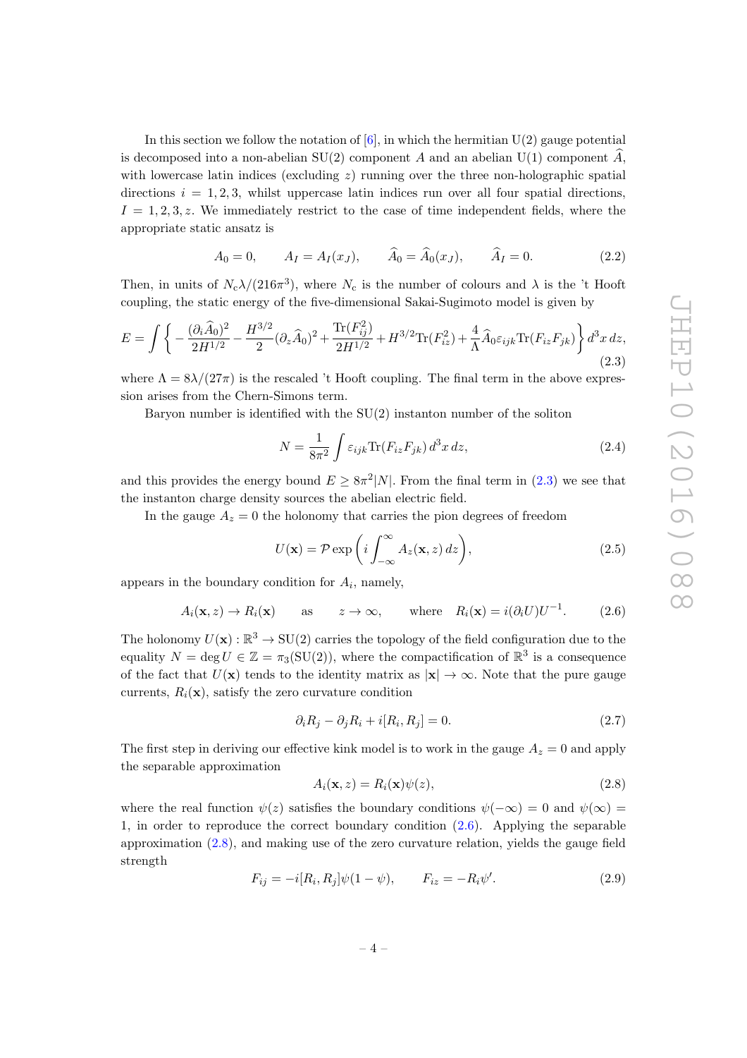In this section we follow the notation of  $[6]$ , in which the hermitian  $U(2)$  gauge potential is decomposed into a non-abelian  $SU(2)$  component A and an abelian  $U(1)$  component A, with lowercase latin indices (excluding z) running over the three non-holographic spatial directions  $i = 1, 2, 3$ , whilst uppercase latin indices run over all four spatial directions,  $I = 1, 2, 3, z$ . We immediately restrict to the case of time independent fields, where the appropriate static ansatz is

$$
A_0 = 0,
$$
  $A_I = A_I(x_J),$   $\hat{A}_0 = \hat{A}_0(x_J),$   $\hat{A}_I = 0.$  (2.2)

Then, in units of  $N_c\lambda/(216\pi^3)$ , where  $N_c$  is the number of colours and  $\lambda$  is the 't Hooft coupling, the static energy of the five-dimensional Sakai-Sugimoto model is given by

$$
E = \int \left\{ -\frac{(\partial_i \widehat{A}_0)^2}{2H^{1/2}} - \frac{H^{3/2}}{2} (\partial_z \widehat{A}_0)^2 + \frac{\text{Tr}(F_{ij}^2)}{2H^{1/2}} + H^{3/2} \text{Tr}(F_{iz}^2) + \frac{4}{\Lambda} \widehat{A}_0 \varepsilon_{ijk} \text{Tr}(F_{iz} F_{jk}) \right\} d^3x \, dz,
$$
\n(2.3)

where  $\Lambda = 8\lambda/(27\pi)$  is the rescaled 't Hooft coupling. The final term in the above expression arises from the Chern-Simons term.

Baryon number is identified with the SU(2) instanton number of the soliton

$$
N = \frac{1}{8\pi^2} \int \varepsilon_{ijk} \text{Tr}(F_{iz} F_{jk}) d^3 x \, dz,
$$
\n(2.4)

and this provides the energy bound  $E \geq 8\pi^2 |N|$ . From the final term in (2.3) we see that the instanton charge density sources the abelian electric field.

In the gauge  $A_z = 0$  the holonomy that carries the pion degrees of freedom

$$
U(\mathbf{x}) = \mathcal{P} \exp\left(i \int_{-\infty}^{\infty} A_z(\mathbf{x}, z) dz\right),\tag{2.5}
$$

appears in the boundary condition for  $A_i$ , namely,

$$
A_i(\mathbf{x}, z) \to R_i(\mathbf{x})
$$
 as  $z \to \infty$ , where  $R_i(\mathbf{x}) = i(\partial_i U)U^{-1}$ . (2.6)

The holonomy  $U(\mathbf{x}) : \mathbb{R}^3 \to SU(2)$  carries the topology of the field configuration due to the equality  $N = \deg U \in \mathbb{Z} = \pi_3(SU(2))$ , where the compactification of  $\mathbb{R}^3$  is a consequence of the fact that  $U(\mathbf{x})$  tends to the identity matrix as  $|\mathbf{x}| \to \infty$ . Note that the pure gauge currents,  $R_i(\mathbf{x})$ , satisfy the zero curvature condition

$$
\partial_i R_j - \partial_j R_i + i[R_i, R_j] = 0. \tag{2.7}
$$

The first step in deriving our effective kink model is to work in the gauge  $A_z = 0$  and apply the separable approximation

$$
A_i(\mathbf{x}, z) = R_i(\mathbf{x})\psi(z),\tag{2.8}
$$

where the real function  $\psi(z)$  satisfies the boundary conditions  $\psi(-\infty) = 0$  and  $\psi(\infty) = 0$ 1, in order to reproduce the correct boundary condition (2.6). Applying the separable approximation (2.8), and making use of the zero curvature relation, yields the gauge field strength

$$
F_{ij} = -i[R_i, R_j]\psi(1 - \psi), \qquad F_{iz} = -R_i\psi'. \tag{2.9}
$$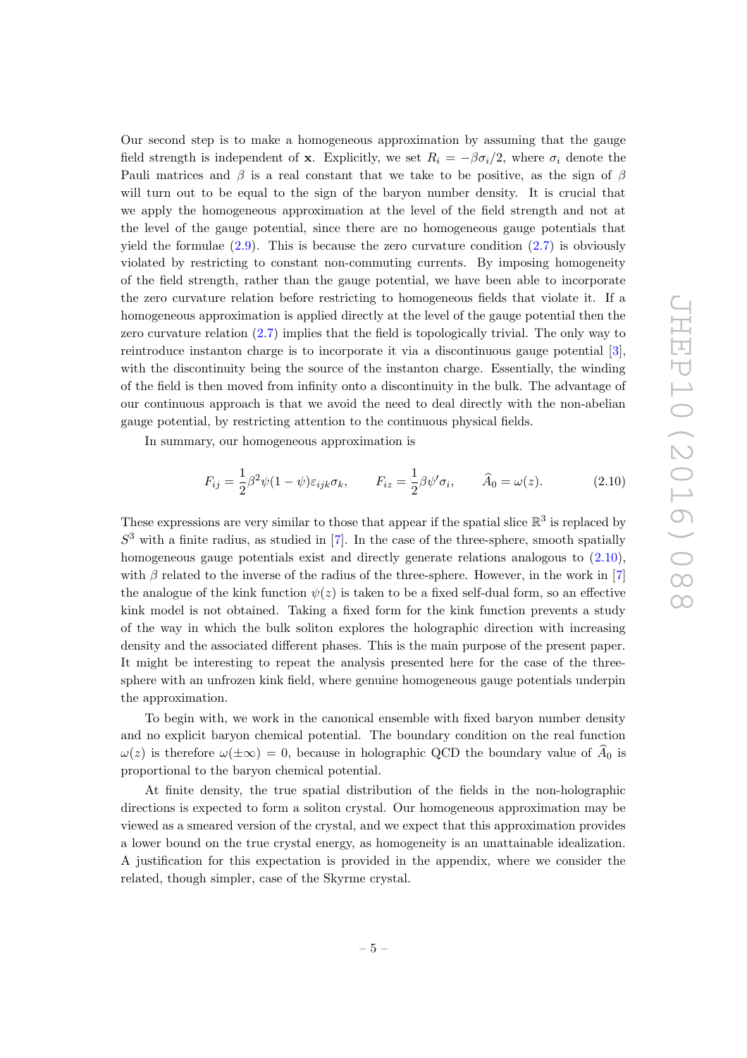Our second step is to make a homogeneous approximation by assuming that the gauge field strength is independent of **x**. Explicitly, we set  $R_i = -\beta \sigma_i/2$ , where  $\sigma_i$  denote the Pauli matrices and  $\beta$  is a real constant that we take to be positive, as the sign of  $\beta$ will turn out to be equal to the sign of the baryon number density. It is crucial that we apply the homogeneous approximation at the level of the field strength and not at the level of the gauge potential, since there are no homogeneous gauge potentials that yield the formulae  $(2.9)$ . This is because the zero curvature condition  $(2.7)$  is obviously violated by restricting to constant non-commuting currents. By imposing homogeneity of the field strength, rather than the gauge potential, we have been able to incorporate the zero curvature relation before restricting to homogeneous fields that violate it. If a homogeneous approximation is applied directly at the level of the gauge potential then the zero curvature relation (2.7) implies that the field is topologically trivial. The only way to reintroduce instanton charge is to incorporate it via a discontinuous gauge potential [ 3], with the discontinuity being the source of the instanton charge. Essentially, the winding of the field is then moved from infinity onto a discontinuity in the bulk. The advantage of our continuous approach is that we avoid the need to deal directly with the non-abelian gauge potential, by restricting attention to the continuous physical fields.

In summary, our homogeneous approximation is

$$
F_{ij} = \frac{1}{2}\beta^2\psi(1-\psi)\varepsilon_{ijk}\sigma_k, \qquad F_{iz} = \frac{1}{2}\beta\psi'\sigma_i, \qquad \widehat{A}_0 = \omega(z). \tag{2.10}
$$

These expressions are very similar to those that appear if the spatial slice  $\mathbb{R}^3$  is replaced by  $S<sup>3</sup>$  with a finite radius, as studied in [7]. In the case of the three-sphere, smooth spatially homogeneous gauge potentials exist and directly generate relations analogous to (2.10), with  $\beta$  related to the inverse of the radius of the three-sphere. However, in the work in [7] the analogue of the kink function  $\psi(z)$  is taken to be a fixed self-dual form, so an effective kink model is not obtained. Taking a fixed form for the kink function prevents a study of the way in which the bulk soliton explores the holographic direction with increasing density and the associated di fferent phases. This is the main purpose of the present paper. It might be interesting to repeat the analysis presented here for the case of the threesphere with an unfrozen kink field, where genuine homogeneous gauge potentials underpin the approximation.

To begin with, we work in the canonical ensemble with fixed baryon number density and no explicit baryon chemical potential. The boundary condition on the real function  $\omega(z)$  is therefore  $\omega(\pm\infty)=0$ , because in holographic QCD the boundary value of  $\hat{A}_0$  is proportional to the baryon chemical potential.

At finite density, the true spatial distribution of the fields in the non-holographic directions is expected to form a soliton crystal. Our homogeneous approximation may be viewed as a smeared version of the crystal, and we expect that this approximation provides a lower bound on the true crystal energy, as homogeneity is an unattainable idealization. A justification for this expectation is provided in the appendix, where we consider the related, though simpler, case of the Skyrme crystal.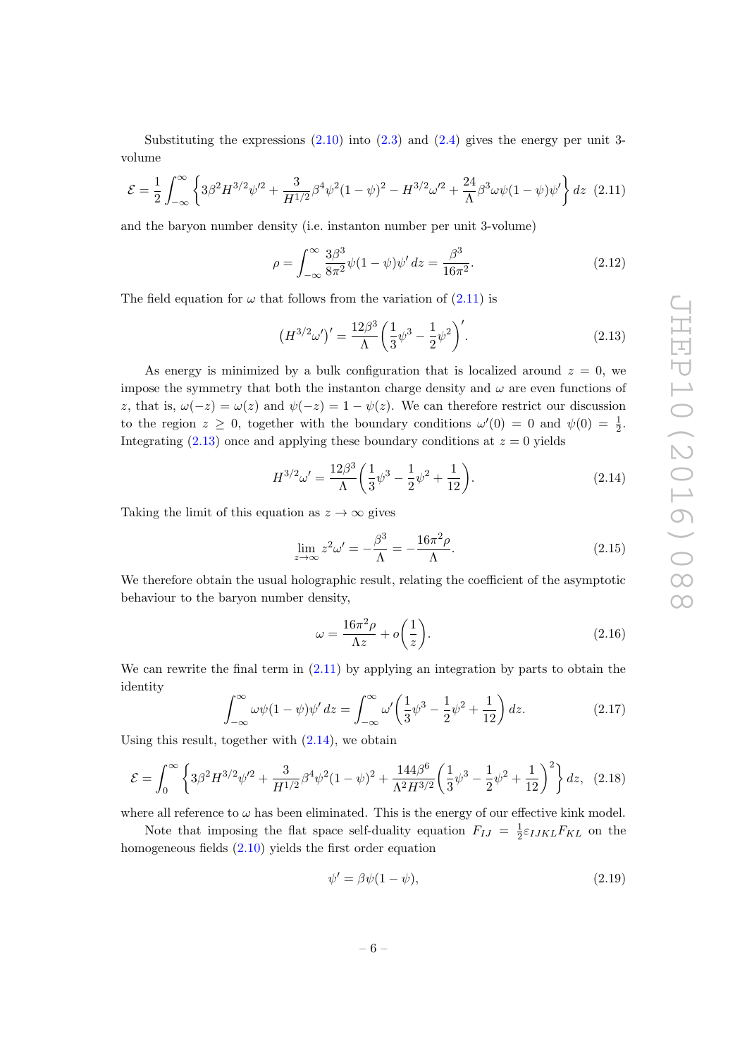Substituting the expressions  $(2.10)$  into  $(2.3)$  and  $(2.4)$  gives the energy per unit 3volume

$$
\mathcal{E} = \frac{1}{2} \int_{-\infty}^{\infty} \left\{ 3\beta^2 H^{3/2} \psi'^2 + \frac{3}{H^{1/2}} \beta^4 \psi^2 (1 - \psi)^2 - H^{3/2} \omega'^2 + \frac{24}{\Lambda} \beta^3 \omega \psi (1 - \psi) \psi' \right\} dz
$$
 (2.11)

and the baryon number density (i.e. instanton number per unit 3-volume)

$$
\rho = \int_{-\infty}^{\infty} \frac{3\beta^3}{8\pi^2} \psi(1-\psi)\psi' \, dz = \frac{\beta^3}{16\pi^2}.
$$
\n(2.12)

The field equation for  $\omega$  that follows from the variation of  $(2.11)$  is

$$
(H^{3/2}\omega')' = \frac{12\beta^3}{\Lambda} \left(\frac{1}{3}\psi^3 - \frac{1}{2}\psi^2\right)'.
$$
 (2.13)

As energy is minimized by a bulk configuration that is localized around  $z = 0$ , we impose the symmetry that both the instanton charge density and  $\omega$  are even functions of z, that is,  $\omega(-z) = \omega(z)$  and  $\psi(-z) = 1 - \psi(z)$ . We can therefore restrict our discussion to the region  $z \geq 0$ , together with the boundary conditions  $\omega'(0) = 0$  and  $\psi(0) = \frac{1}{2}$ . Integrating  $(2.13)$  once and applying these boundary conditions at  $z = 0$  yields

$$
H^{3/2}\omega' = \frac{12\beta^3}{\Lambda} \left(\frac{1}{3}\psi^3 - \frac{1}{2}\psi^2 + \frac{1}{12}\right).
$$
 (2.14)

Taking the limit of this equation as  $z \to \infty$  gives

$$
\lim_{z \to \infty} z^2 \omega' = -\frac{\beta^3}{\Lambda} = -\frac{16\pi^2 \rho}{\Lambda}.
$$
\n(2.15)

We therefore obtain the usual holographic result, relating the coe fficient of the asymptotic behaviour to the baryon number density,

$$
\omega = \frac{16\pi^2 \rho}{\Lambda z} + o\left(\frac{1}{z}\right). \tag{2.16}
$$

We can rewrite the final term in  $(2.11)$  by applying an integration by parts to obtain the identity

$$
\int_{-\infty}^{\infty} \omega \psi (1 - \psi) \psi' dz = \int_{-\infty}^{\infty} \omega' \left( \frac{1}{3} \psi^3 - \frac{1}{2} \psi^2 + \frac{1}{12} \right) dz.
$$
 (2.17)

Using this result, together with  $(2.14)$ , we obtain

$$
\mathcal{E} = \int_0^\infty \left\{ 3\beta^2 H^{3/2} \psi'^2 + \frac{3}{H^{1/2}} \beta^4 \psi^2 (1 - \psi)^2 + \frac{144\beta^6}{\Lambda^2 H^{3/2}} \left( \frac{1}{3} \psi^3 - \frac{1}{2} \psi^2 + \frac{1}{12} \right)^2 \right\} dz, \tag{2.18}
$$

where all reference to  $\omega$  has been eliminated. This is the energy of our effective kink model.

Note that imposing the flat space self-duality equation  $F_{IJ} = \frac{1}{2} \varepsilon_{IJKL} F_{KL}$  on the homogeneous fields (2.10) yields the first order equation

$$
\psi' = \beta \psi (1 - \psi),\tag{2.19}
$$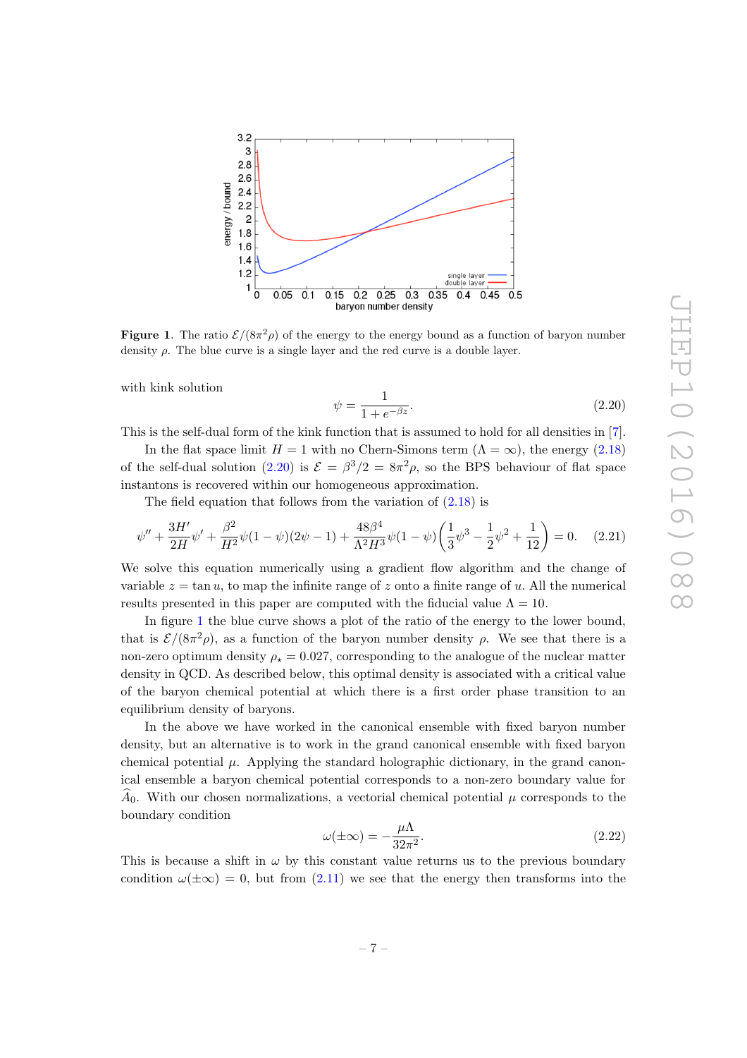

**Figure 1.** The ratio  $\mathcal{E}/(8\pi^2 \rho)$  of the energy to the energy bound as a function of baryon number density  $\rho$ . The blue curve is a single layer and the red curve is a double layer.

with kink solution

$$
\psi = \frac{1}{1 + e^{-\beta z}}.\tag{2.20}
$$

This is the self-dual form of the kink function that is assumed to hold for all densities in [ 7].

In the flat space limit  $H = 1$  with no Chern-Simons term  $(\Lambda = \infty)$ , the energy  $(2.18)$ of the self-dual solution (2.20) is  $\mathcal{E} = \beta^3/2 = 8\pi^2 \rho$ , so the BPS behaviour of flat space instantons is recovered within our homogeneous approximation.

The field equation that follows from the variation of (2.18) is

$$
\psi'' + \frac{3H'}{2H}\psi' + \frac{\beta^2}{H^2}\psi(1-\psi)(2\psi-1) + \frac{48\beta^4}{\Lambda^2H^3}\psi(1-\psi)\left(\frac{1}{3}\psi^3 - \frac{1}{2}\psi^2 + \frac{1}{12}\right) = 0. \tag{2.21}
$$

We solve this equation numerically using a gradient flow algorithm and the change of variable  $z = \tan u$ , to map the infinite range of z onto a finite range of u. All the numerical results presented in this paper are computed with the fiducial value  $\Lambda = 10$ .

In figure 1 the blue curve shows a plot of the ratio of the energy to the lower bound, that is  $\mathcal{E}/(8\pi^2\rho)$ , as a function of the baryon number density  $\rho$ . We see that there is a non-zero optimum density  $\rho_{\star} = 0.027$ , corresponding to the analogue of the nuclear matter density in QCD. As described below, this optimal density is associated with a critical value of the baryon chemical potential at which there is a first order phase transition to an equilibrium density of baryons.

In the above we have worked in the canonical ensemble with fixed baryon number density, but an alternative is to work in the grand canonical ensemble with fixed baryon chemical potential  $\mu$ . Applying the standard holographic dictionary, in the grand canonical ensemble a baryon chemical potential corresponds to a non-zero boundary value for  $\widehat{A}_0$ . With our chosen normalizations, a vectorial chemical potential  $\mu$  corresponds to the boundary condition

$$
\omega(\pm \infty) = -\frac{\mu \Lambda}{32\pi^2}.
$$
\n(2.22)

This is because a shift in  $\omega$  by this constant value returns us to the previous boundary condition  $\omega(\pm\infty) = 0$ , but from  $(2.11)$  we see that the energy then transforms into the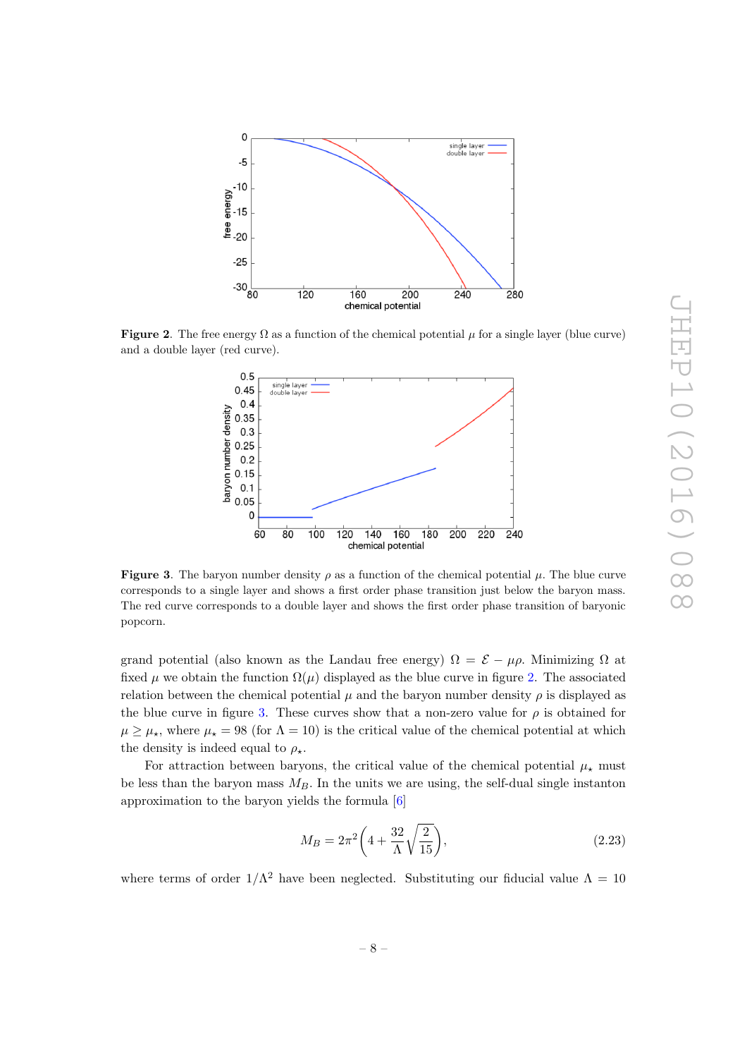

**Figure 2.** The free energy  $\Omega$  as a function of the chemical potential  $\mu$  for a single layer (blue curve) and a double layer (red curve).



**Figure 3.** The baryon number density  $\rho$  as a function of the chemical potential  $\mu$ . The blue curve corresponds to a single layer and shows a first order phase transition just below the baryon mass. The red curve corresponds to a double layer and shows the first order phase transition of baryonic popcorn.

grand potential (also known as the Landau free energy)  $\Omega = \mathcal{E} - \mu \rho$ . Minimizing  $\Omega$  at fixed  $\mu$  we obtain the function  $\Omega(\mu)$  displayed as the blue curve in figure 2. The associated relation between the chemical potential  $\mu$  and the baryon number density  $\rho$  is displayed as the blue curve in figure 3. These curves show that a non-zero value for  $\rho$  is obtained for  $\mu \ge \mu_\star$ , where  $\mu_\star = 98$  (for  $\Lambda = 10$ ) is the critical value of the chemical potential at which the density is indeed equal to  $\rho_{\star}$ .

For attraction between baryons, the critical value of the chemical potential  $\mu_{\star}$  must be less than the baryon mass  $M_B$ . In the units we are using, the self-dual single instanton approximation to the baryon yields the formula [ 6 ]

$$
M_B = 2\pi^2 \left( 4 + \frac{32}{\Lambda} \sqrt{\frac{2}{15}} \right),
$$
\n(2.23)

where terms of order  $1/\Lambda^2$  have been neglected. Substituting our fiducial value  $\Lambda = 10$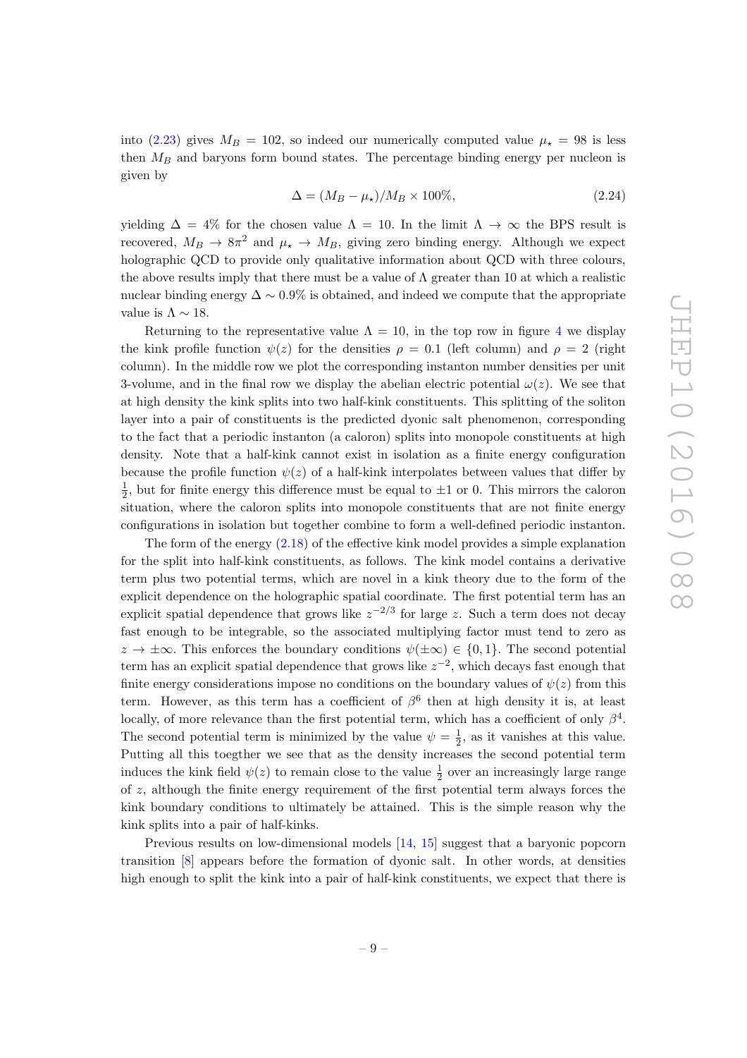into  $(2.23)$  gives  $M_B = 102$ , so indeed our numerically computed value  $\mu_{\star} = 98$  is less then *M<sup>B</sup>* and baryons form bound states. The percentage binding energy per nucleon is given by

$$
\Delta = (M_B - \mu_\star)/M_B \times 100\%,\tag{2.24}
$$

yielding  $\Delta = 4\%$  for the chosen value  $\Lambda = 10$ . In the limit  $\Lambda \to \infty$  the BPS result is recovered,  $M_B \to 8\pi^2$  and  $\mu_\star \to M_B$ , giving zero binding energy. Although we expect holographic QCD to provide only qualitative information about QCD with three colours, the above results imply that there must be a value of  $\Lambda$  greater than 10 at which a realistic nuclear binding energy  $\Delta \sim 0.9\%$  is obtained, and indeed we compute that the appropriate value is  $\Lambda \sim 18$ .

Returning to the representative value  $\Lambda = 10$ , in the top row in figure 4 we display the kink profile function  $\psi(z)$  for the densities  $\rho = 0.1$  (left column) and  $\rho = 2$  (right column). In the middle row we plot the corresponding instanton number densities per unit 3-volume, and in the final row we display the abelian electric potential  $\omega(z)$ . We see that at high density the kink splits into two half-kink constituents. This splitting of the soliton layer into a pair of constituents is the predicted dyonic salt phenomenon, corresponding to the fact that a periodic instanton (a caloron) splits into monopole constituents at high density. Note that a half-kink cannot exist in isolation as a finite energy configuration because the profile function  $\psi(z)$  of a half-kink interpolates between values that differ by  $\frac{1}{2}$ , but for finite energy this difference must be equal to  $\pm 1$  or 0. This mirrors the caloron situation, where the caloron splits into monopole constituents that are not finite energy configurations in isolation but together combine to form a well-defined periodic instanton.

The form of the energy (2.18) of the e ffective kink model provides a simple explanation for the split into half-kink constituents, as follows. The kink model contains a derivative term plus two potential terms, which are novel in a kink theory due to the form of the explicit dependence on the holographic spatial coordinate. The first potential term has an explicit spatial dependence that grows like  $z^{-2/3}$  for large z. Such a term does not decay fast enough to be integrable, so the associated multiplying factor must tend to zero as  $z \to \pm \infty$ . This enforces the boundary conditions  $\psi(\pm \infty) \in \{0,1\}$ . The second potential term has an explicit spatial dependence that grows like  $z^{-2}$ , which decays fast enough that finite energy considerations impose no conditions on the boundary values of  $\psi(z)$  from this term. However, as this term has a coefficient of  $\beta^6$  then at high density it is, at least locally, of more relevance than the first potential term, which has a coefficient of only  $\beta^4$ . The second potential term is minimized by the value  $\psi = \frac{1}{2}$ , as it vanishes at this value. Putting all this toegther we see that as the density increases the second potential term induces the kink field  $\psi(z)$  to remain close to the value  $\frac{1}{2}$  over an increasingly large range of *z*, although the finite energy requirement of the first potential term always forces the kink boundary conditions to ultimately be attained. This is the simple reason why the kink splits into a pair of half-kinks.

Previous results on low-dimensional models [14 , 15] suggest that a baryonic popcorn transition [ 8] appears before the formation of dyonic salt. In other words, at densities high enough to split the kink into a pair of half-kink constituents, we expect that there is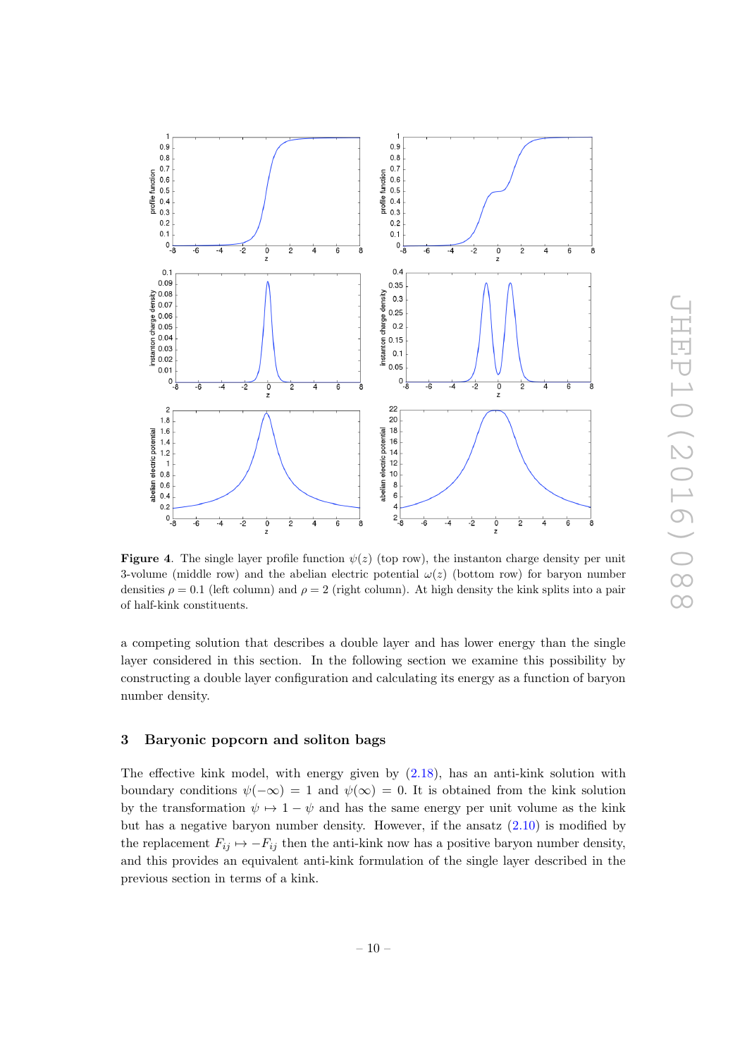

JHEP10(2016)088 JHEP10(2016)088

**Figure 4.** The single layer profile function  $\psi(z)$  (top row), the instanton charge density per unit 3-volume (middle row) and the abelian electric potential  $\omega(z)$  (bottom row) for baryon number densities  $\rho = 0.1$  (left column) and  $\rho = 2$  (right column). At high density the kink splits into a pair of half-kink constituents.

a competing solution that describes a double layer and has lower energy than the single layer considered in this section. In the following section we examine this possibility by constructing a double layer configuration and calculating its energy as a function of baryon number density.

#### 3 Baryonic popcorn and soliton bags

The e ffective kink model, with energy given by (2.18), has an anti-kink solution with boundary conditions  $\psi(-\infty) = 1$  and  $\psi(\infty) = 0$ . It is obtained from the kink solution by the transformation  $\psi \mapsto 1 - \psi$  and has the same energy per unit volume as the kink but has a negative baryon number density. However, if the ansatz  $(2.10)$  is modified by the replacement  $F_{ij} \mapsto -F_{ij}$  then the anti-kink now has a positive baryon number density, and this provides an equivalent anti-kink formulation of the single layer described in the previous section in terms of a kink.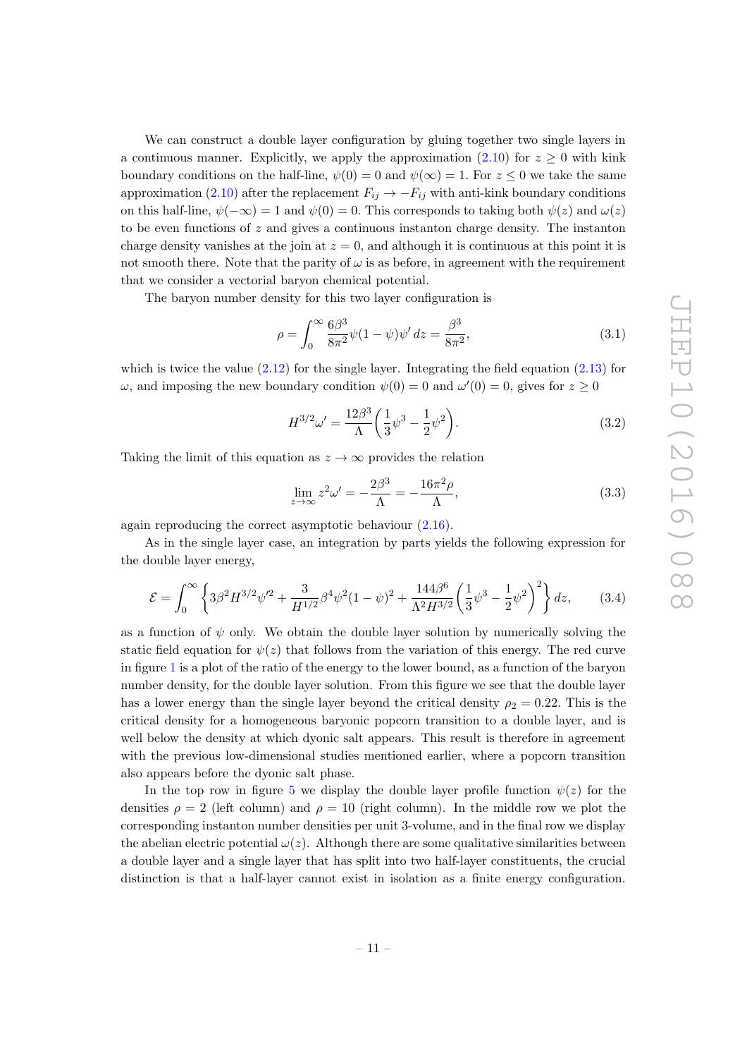We can construct a double layer configuration by gluing together two single layers in a continuous manner. Explicitly, we apply the approximation  $(2.10)$  for  $z \ge 0$  with kink boundary conditions on the half-line,  $\psi(0) = 0$  and  $\psi(\infty) = 1$ . For  $z \le 0$  we take the same approximation (2.10) after the replacement  $F_{ij} \rightarrow -F_{ij}$  with anti-kink boundary conditions on this half-line,  $\psi(-\infty) = 1$  and  $\psi(0) = 0$ . This corresponds to taking both  $\psi(z)$  and  $\omega(z)$ to be even functions of *z* and gives a continuous instanton charge density. The instanton charge density vanishes at the join at  $z = 0$ , and although it is continuous at this point it is not smooth there. Note that the parity of  $\omega$  is as before, in agreement with the requirement that we consider a vectorial baryon chemical potential.

The baryon number density for this two layer configuration is

$$
\rho = \int_0^\infty \frac{6\beta^3}{8\pi^2} \psi(1-\psi)\psi' dz = \frac{\beta^3}{8\pi^2},\tag{3.1}
$$

which is twice the value  $(2.12)$  for the single layer. Integrating the field equation  $(2.13)$  for  $\omega$ , and imposing the new boundary condition  $\psi(0) = 0$  and  $\omega'(0) = 0$ , gives for  $z \ge 0$ 

$$
H^{3/2}\omega' = \frac{12\beta^3}{\Lambda} \left(\frac{1}{3}\psi^3 - \frac{1}{2}\psi^2\right).
$$
 (3.2)

Taking the limit of this equation as  $z \to \infty$  provides the relation

$$
\lim_{z \to \infty} z^2 \omega' = -\frac{2\beta^3}{\Lambda} = -\frac{16\pi^2 \rho}{\Lambda},\tag{3.3}
$$

again reproducing the correct asymptotic behaviour (2.16).

As in the single layer case, an integration by parts yields the following expression for the double layer energy,

$$
\mathcal{E} = \int_0^\infty \left\{ 3\beta^2 H^{3/2} \psi'^2 + \frac{3}{H^{1/2}} \beta^4 \psi^2 (1 - \psi)^2 + \frac{144\beta^6}{\Lambda^2 H^{3/2}} \left( \frac{1}{3} \psi^3 - \frac{1}{2} \psi^2 \right)^2 \right\} dz, \tag{3.4}
$$

as a function of  $\psi$  only. We obtain the double layer solution by numerically solving the static field equation for  $\psi(z)$  that follows from the variation of this energy. The red curve in figure 1 is a plot of the ratio of the energy to the lower bound, as a function of the baryon number density, for the double layer solution. From this figure we see that the double layer has a lower energy than the single layer beyond the critical density  $\rho_2 = 0.22$ . This is the critical density for a homogeneous baryonic popcorn transition to a double layer, and is well below the density at which dyonic salt appears. This result is therefore in agreement with the previous low-dimensional studies mentioned earlier, where a popcorn transition also appears before the dyonic salt phase.

In the top row in figure 5 we display the double layer profile function  $\psi(z)$  for the densities  $\rho = 2$  (left column) and  $\rho = 10$  (right column). In the middle row we plot the corresponding instanton number densities per unit 3-volume, and in the final row we display the abelian electric potential  $\omega(z)$ . Although there are some qualitative similarities between a double layer and a single layer that has split into two half-layer constituents, the crucial distinction is that a half-layer cannot exist in isolation as a finite energy configuration.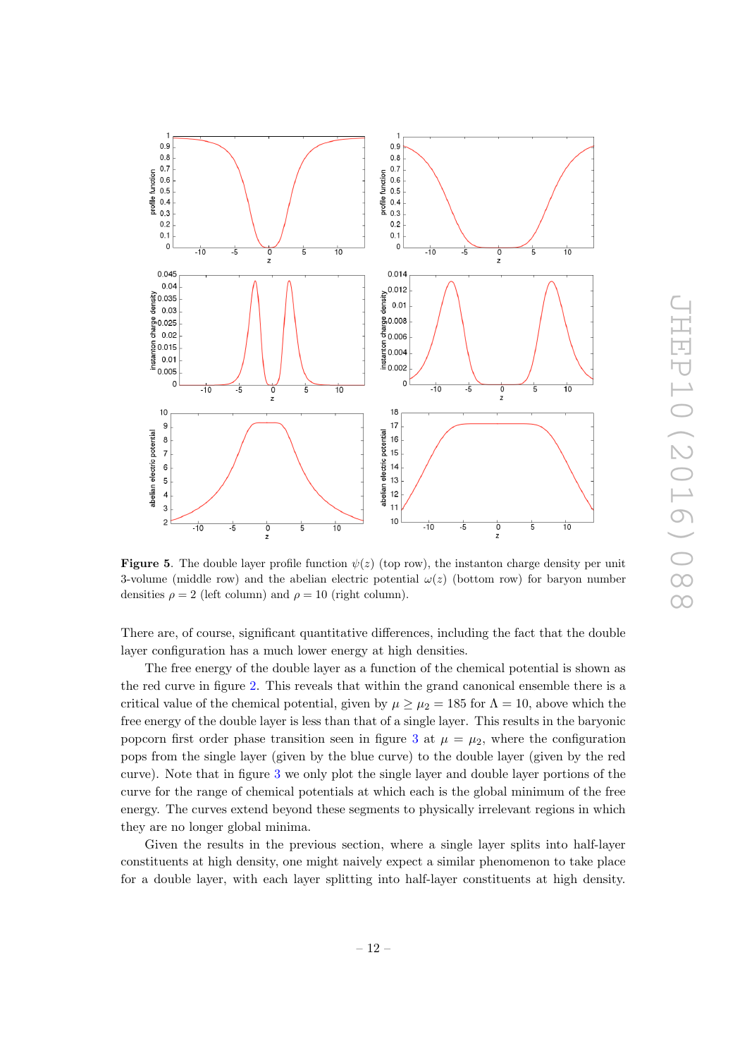

**Figure 5.** The double layer profile function  $\psi(z)$  (top row), the instanton charge density per unit 3-volume (middle row) and the abelian electric potential  $\omega(z)$  (bottom row) for baryon number densities  $\rho = 2$  (left column) and  $\rho = 10$  (right column).

There are, of course, significant quantitative di fferences, including the fact that the double layer configuration has a much lower energy at high densities.

The free energy of the double layer as a function of the chemical potential is shown as the red curve in figure 2. This reveals that within the grand canonical ensemble there is a critical value of the chemical potential, given by  $\mu \ge \mu_2 = 185$  for  $\Lambda = 10$ , above which the free energy of the double layer is less than that of a single layer. This results in the baryonic popcorn first order phase transition seen in figure 3 at  $\mu = \mu_2$ , where the configuration pops from the single layer (given by the blue curve) to the double layer (given by the red curve). Note that in figure 3 we only plot the single layer and double layer portions of the curve for the range of chemical potentials at which each is the global minimum of the free energy. The curves extend beyond these segments to physically irrelevant regions in which they are no longer global minima.

Given the results in the previous section, where a single layer splits into half-layer constituents at high density, one might naively expect a similar phenomenon to take place for a double layer, with each layer splitting into half-layer constituents at high density.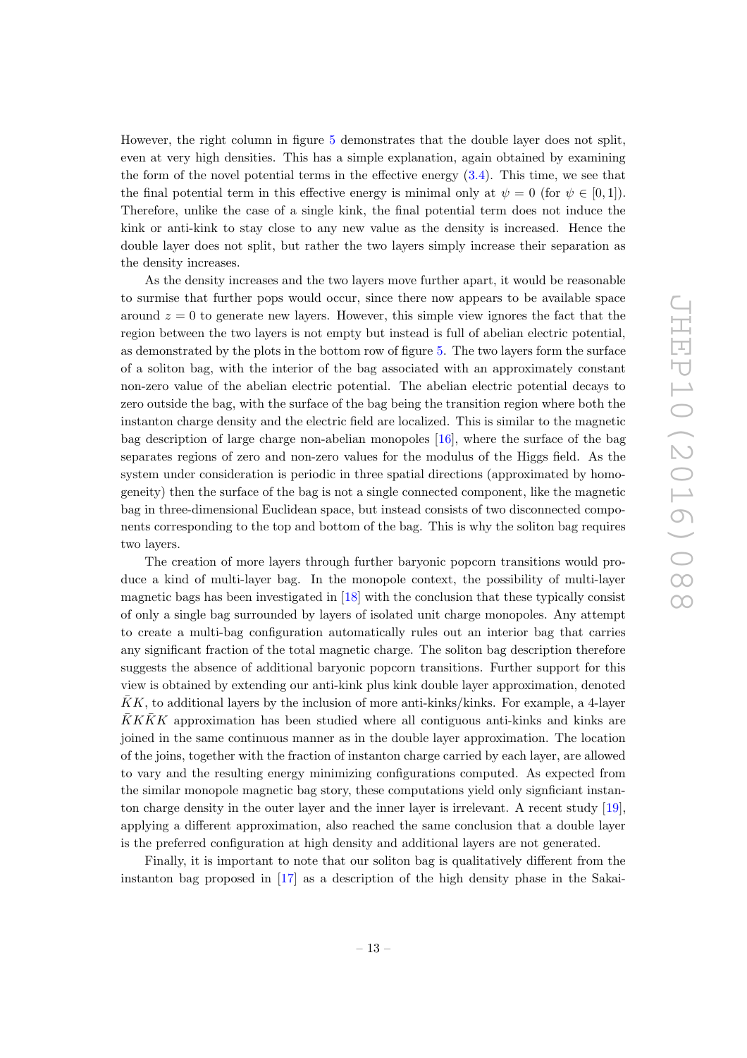However, the right column in figure 5 demonstrates that the double layer does not split, even at very high densities. This has a simple explanation, again obtained by examining the form of the novel potential terms in the e ffective energy (3.4). This time, we see that the final potential term in this effective energy is minimal only at  $\psi = 0$  (for  $\psi \in [0,1]$ ). Therefore, unlike the case of a single kink, the final potential term does not induce the kink or anti-kink to stay close to any new value as the density is increased. Hence the double layer does not split, but rather the two layers simply increase their separation as the density increases.

As the density increases and the two layers move further apart, it would be reasonable to surmise that further pops would occur, since there now appears to be available space around *z* = 0 to generate new layers. However, this simple view ignores the fact that the region between the two layers is not empty but instead is full of abelian electric potential, as demonstrated by the plots in the bottom row of figure 5. The two layers form the surface of a soliton bag, with the interior of the bag associated with an approximately constant non-zero value of the abelian electric potential. The abelian electric potential decays to zero outside the bag, with the surface of the bag being the transition region where both the instanton charge density and the electric field are localized. This is similar to the magnetic bag description of large charge non-abelian monopoles [16], where the surface of the bag separates regions of zero and non-zero values for the modulus of the Higgs field. As the system under consideration is periodic in three spatial directions (approximated by homogeneity) then the surface of the bag is not a single connected component, like the magnetic bag in three-dimensional Euclidean space, but instead consists of two disconnected components corresponding to the top and bottom of the bag. This is why the soliton bag requires two layers.

The creation of more layers through further baryonic popcorn transitions would produce a kind of multi-layer bag. In the monopole context, the possibility of multi-layer magnetic bags has been investigated in [18] with the conclusion that these typically consist of only a single bag surrounded by layers of isolated unit charge monopoles. Any attempt to create a multi-bag configuration automatically rules out an interior bag that carries any significant fraction of the total magnetic charge. The soliton bag description therefore suggests the absence of additional baryonic popcorn transitions. Further support for this view is obtained by extending our anti-kink plus kink double layer approximation, denoted  $\overline{K}K$ , to additional layers by the inclusion of more anti-kinks/kinks. For example, a 4-layer  $\overline{K}K\overline{K}K$  approximation has been studied where all contiguous anti-kinks and kinks are joined in the same continuous manner as in the double layer approximation. The location of the joins, together with the fraction of instanton charge carried by each layer, are allowed to vary and the resulting energy minimizing configurations computed. As expected from the similar monopole magnetic bag story, these computations yield only signficiant instanton charge density in the outer layer and the inner layer is irrelevant. A recent study [19], applying a di fferent approximation, also reached the same conclusion that a double layer is the preferred configuration at high density and additional layers are not generated.

Finally, it is important to note that our soliton bag is qualitatively di fferent from the instanton bag proposed in  $[17]$  as a description of the high density phase in the Sakai-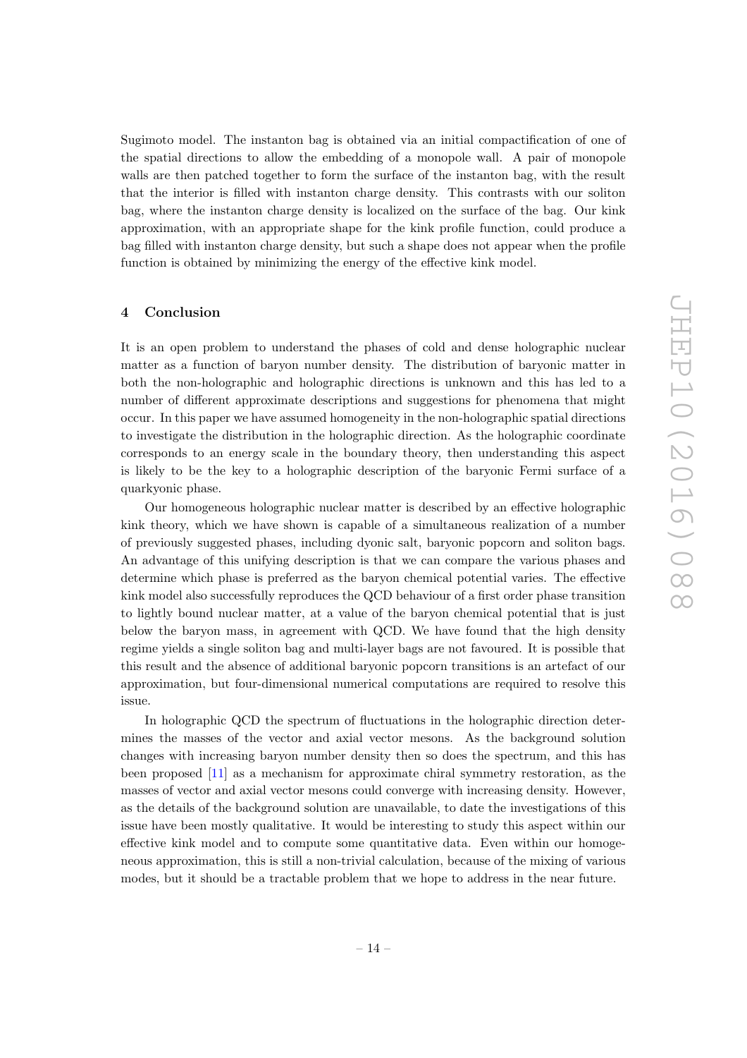Sugimoto model. The instanton bag is obtained via an initial compactification of one of the spatial directions to allow the embedding of a monopole wall. A pair of monopole walls are then patched together to form the surface of the instanton bag, with the result that the interior is filled with instanton charge density. This contrasts with our soliton bag, where the instanton charge density is localized on the surface of the bag. Our kink approximation, with an appropriate shape for the kink profile function, could produce a bag filled with instanton charge density, but such a shape does not appear when the profile function is obtained by minimizing the energy of the e ffective kink model.

### 4 Conclusion

It is an open problem to understand the phases of cold and dense holographic nuclear matter as a function of baryon number density. The distribution of baryonic matter in both the non-holographic and holographic directions is unknown and this has led to a number of di fferent approximate descriptions and suggestions for phenomena that might occur. In this paper we have assumed homogeneity in the non-holographic spatial directions to investigate the distribution in the holographic direction. As the holographic coordinate corresponds to an energy scale in the boundary theory, then understanding this aspect is likely to be the key to a holographic description of the baryonic Fermi surface of a quarkyonic phase.

Our homogeneous holographic nuclear matter is described by an e ffective holographic kink theory, which we have shown is capable of a simultaneous realization of a number of previously suggested phases, including dyonic salt, baryonic popcorn and soliton bags. An advantage of this unifying description is that we can compare the various phases and determine which phase is preferred as the baryon chemical potential varies. The e ffective kink model also successfully reproduces the QCD behaviour of a first order phase transition to lightly bound nuclear matter, at a value of the baryon chemical potential that is just below the baryon mass, in agreement with QCD. We have found that the high density regime yields a single soliton bag and multi-layer bags are not favoured. It is possible that this result and the absence of additional baryonic popcorn transitions is an artefact of our approximation, but four-dimensional numerical computations are required to resolve this issue.

In holographic QCD the spectrum of fluctuations in the holographic direction determines the masses of the vector and axial vector mesons. As the background solution changes with increasing baryon number density then so does the spectrum, and this has been proposed [11] as a mechanism for approximate chiral symmetry restoration, as the masses of vector and axial vector mesons could converge with increasing density. However, as the details of the background solution are unavailable, to date the investigations of this issue have been mostly qualitative. It would be interesting to study this aspect within our effective kink model and to compute some quantitative data. Even within our homogeneous approximation, this is still a non-trivial calculation, because of the mixing of various modes, but it should be a tractable problem that we hope to address in the near future.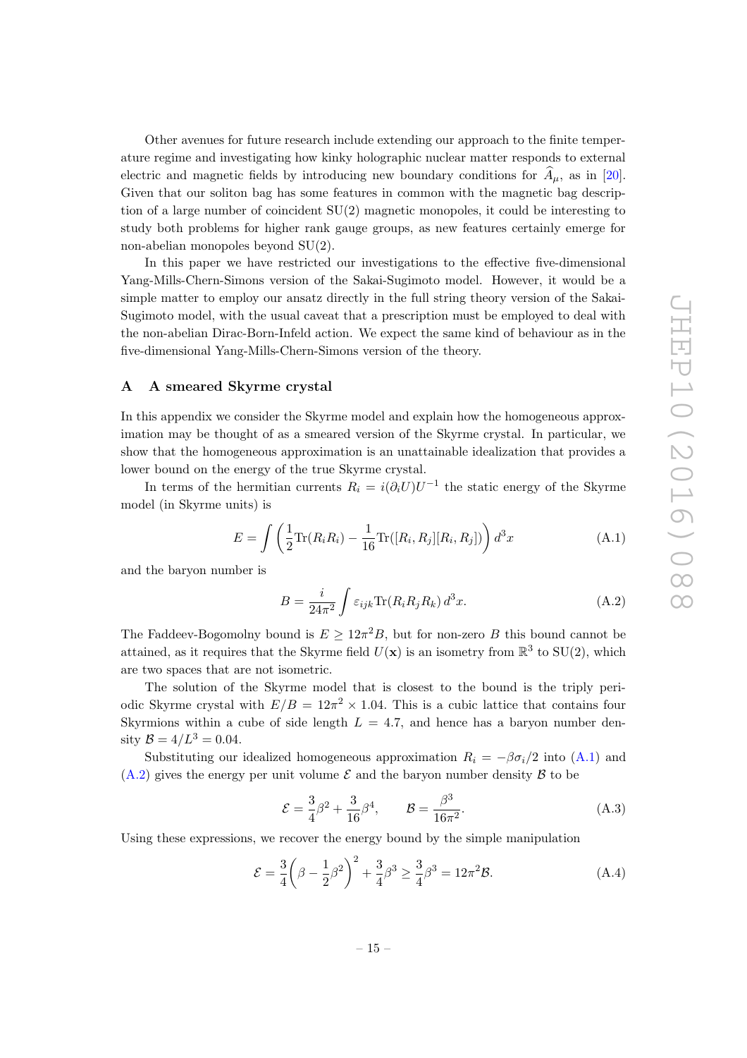Other avenues for future research include extending our approach to the finite temperature regime and investigating how kinky holographic nuclear matter responds to external electric and magnetic fields by introducing new boundary conditions for  $A_{\mu}$ , as in [20]. Given that our soliton bag has some features in common with the magnetic bag description of a large number of coincident  $SU(2)$  magnetic monopoles, it could be interesting to study both problems for higher rank gauge groups, as new features certainly emerge for non-abelian monopoles beyond SU(2).

In this paper we have restricted our investigations to the e ffective five-dimensional Yang-Mills-Chern-Simons version of the Sakai-Sugimoto model. However, it would be a simple matter to employ our ansatz directly in the full string theory version of the Sakai-Sugimoto model, with the usual caveat that a prescription must be employed to deal with the non-abelian Dirac-Born-Infeld action. We expect the same kind of behaviour as in the five-dimensional Yang-Mills-Chern-Simons version of the theory.

#### A A smeared Skyrme crystal

In this appendix we consider the Skyrme model and explain how the homogeneous approximation may be thought of as a smeared version of the Skyrme crystal. In particular, we show that the homogeneous approximation is an unattainable idealization that provides a lower bound on the energy of the true Skyrme crystal.

In terms of the hermitian currents  $R_i = i(\partial_i U)U^{-1}$  the static energy of the Skyrme model (in Skyrme units) is

$$
E = \int \left(\frac{1}{2}\text{Tr}(R_i R_i) - \frac{1}{16}\text{Tr}([R_i, R_j][R_i, R_j])\right) d^3x \tag{A.1}
$$

and the baryon number is

$$
B = \frac{i}{24\pi^2} \int \varepsilon_{ijk} \text{Tr}(R_i R_j R_k) d^3 x.
$$
 (A.2)

The Faddeev-Bogomolny bound is  $E \geq 12\pi^2 B$ , but for non-zero B this bound cannot be attained, as it requires that the Skyrme field  $U(\mathbf{x})$  is an isometry from  $\mathbb{R}^3$  to  $SU(2)$ , which are two spaces that are not isometric.

The solution of the Skyrme model that is closest to the bound is the triply periodic Skyrme crystal with  $E/B = 12\pi^2 \times 1.04$ . This is a cubic lattice that contains four Skyrmions within a cube of side length  $L = 4.7$ , and hence has a baryon number density  $B = 4/L^3 = 0.04$ .

Substituting our idealized homogeneous approximation  $R_i = -\beta \sigma_i/2$  into (A.1) and  $(A.2)$  gives the energy per unit volume  $\mathcal E$  and the baryon number density  $\mathcal B$  to be

$$
\mathcal{E} = \frac{3}{4}\beta^2 + \frac{3}{16}\beta^4, \qquad \mathcal{B} = \frac{\beta^3}{16\pi^2}.
$$
 (A.3)

Using these expressions, we recover the energy bound by the simple manipulation

$$
\mathcal{E} = \frac{3}{4} \left( \beta - \frac{1}{2} \beta^2 \right)^2 + \frac{3}{4} \beta^3 \ge \frac{3}{4} \beta^3 = 12\pi^2 \mathcal{B}.
$$
 (A.4)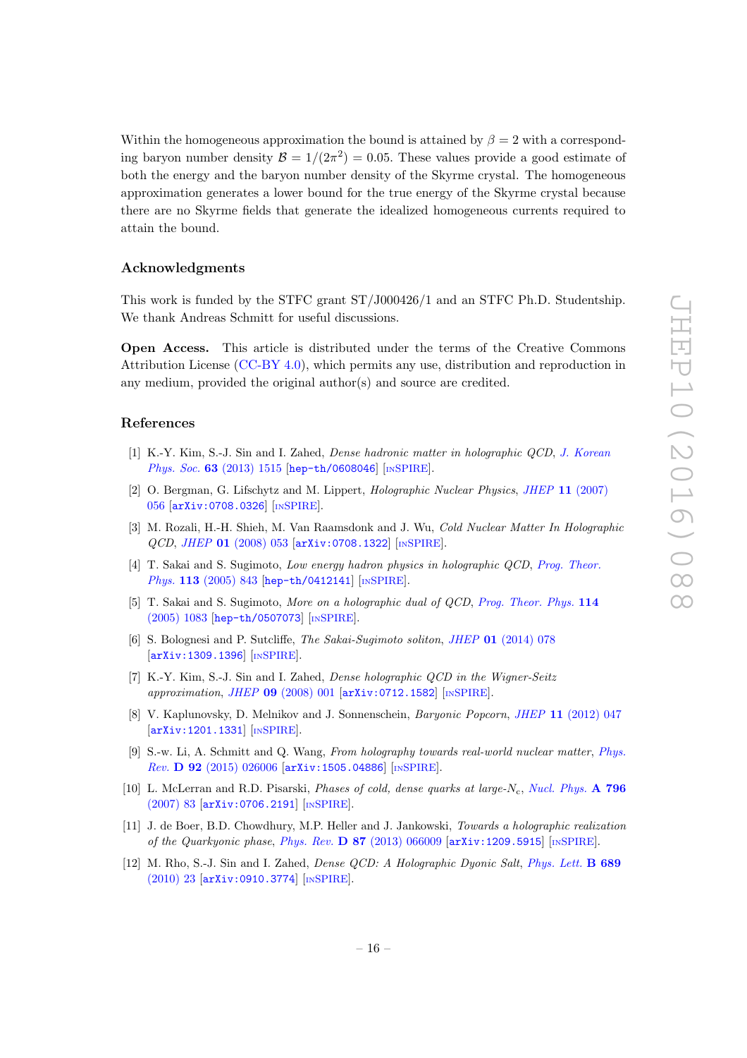Within the homogeneous approximation the bound is attained by  $\beta = 2$  with a corresponding baryon number density  $\mathcal{B} = 1/(2\pi^2) = 0.05$ . These values provide a good estimate of both the energy and the baryon number density of the Skyrme crystal. The homogeneous approximation generates a lower bound for the true energy of the Skyrme crystal because there are no Skyrme fields that generate the idealized homogeneous currents required to attain the bound.

#### Acknowledgments

This work is funded by the STFC grant ST/J000426/1 and an STFC Ph.D. Studentship. We thank Andreas Schmitt for useful discussions.

Open Access. This article is distributed under the terms of the Creative Commons Attribution License (CC-BY 4.0), which permits any use, distribution and reproduction in any medium, provided the original author(s) and source are credited.

### References

- [1] K.-Y. Kim, S.-J. Sin and I. Zahed, *Dense hadronic matter in holographic QCD* , *J. Korean Phys. Soc.* 63 (2013) 1515 [hep-th/0608046] [INSPIRE].
- [2] O. Bergman, G. Lifschytz and M. Lippert, *Holographic Nuclear Physics* , *JHEP* 11 (2007) 056 [arXiv:0708.0326] [INSPIRE].
- [3] M. Rozali, H.-H. Shieh, M. Van Raamsdonk and J. Wu, *Cold Nuclear Matter In Holographic QCD*, *JHEP* **01** (2008) 053 [arXiv:0708.1322] [INSPIRE].
- [4] T. Sakai and S. Sugimoto, *Low energy hadron physics in holographic QCD* , *Prog. Theor.* Phys. **113** (2005) 843 [hep-th/0412141] [INSPIRE].
- [5] T. Sakai and S. Sugimoto, *More on a holographic dual of QCD* , *Prog. Theor. Phys.* 114 (2005) 1083 [hep-th/0507073] [INSPIRE].
- [6] S. Bolognesi and P. Sutcli ffe, *The Sakai-Sugimoto soliton* , *JHEP* 01 (2014) 078 [arXiv:1309.1396] [INSPIRE].
- [7] K.-Y. Kim, S.-J. Sin and I. Zahed, *Dense holographic QCD in the Wigner-Seitz approximation*, *JHEP* **09** (2008) 001 [arXiv:0712.1582] [INSPIRE].
- [8] V. Kaplunovsky, D. Melnikov and J. Sonnenschein, *Baryonic Popcorn* , *JHEP* 11 (2012) 047 [arXiv:1201.1331] [INSPIRE].
- [9] S.-w. Li, A. Schmitt and Q. Wang, *From holography towards real-world nuclear matter* , *Phys. Rev.* **D 92** (2015) 026006 [arXiv:1505.04886] [INSPIRE].
- [10] L. McLerran and R.D. Pisarski, *Phases of cold, dense quarks at large-N*<sup>c</sup> , *Nucl. Phys.* A 796 (2007) 83 [arXiv:0706.2191] [INSPIRE].
- [11] J. de Boer, B.D. Chowdhury, M.P. Heller and J. Jankowski, *Towards a holographic realization of the Quarkyonic phase* , *Phys. Rev.* D 87 (2013) 066009 [arXiv:1209.5915] [INSPIRE].
- [12] M. Rho, S.-J. Sin and I. Zahed, *Dense QCD: A Holographic Dyonic Salt* , *Phys. Lett.* B 689 (2010) 23 [arXiv:0910.3774] [INSPIRE].